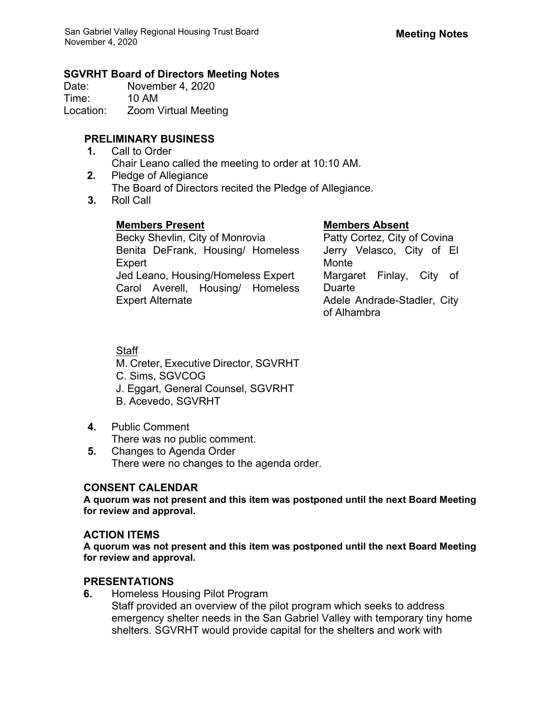### **SGVRHT Board of Directors Meeting Notes**

Date: November 4, 2020 Time: 10 AM Location: Zoom Virtual Meeting

# **PRELIMINARY BUSINESS**

- **1.** Call to Order Chair Leano called the meeting to order at 10:10 AM.
- **2.** Pledge of Allegiance The Board of Directors recited the Pledge of Allegiance.
- **3.** Roll Call

# **Members Present Members Absent**

Becky Shevlin, City of Monrovia Benita DeFrank, Housing/ Homeless Expert Jed Leano, Housing/Homeless Expert Carol Averell, Housing/ Homeless Expert Alternate

Patty Cortez, City of Covina Jerry Velasco, City of El Monte Margaret Finlay, City of Duarte Adele Andrade-Stadler, City of Alhambra

# **Staff**

M. Creter, Executive Director, SGVRHT

- C. Sims, SGVCOG
- J. Eggart, General Counsel, SGVRHT
- B. Acevedo, SGVRHT
- **4.** Public Comment There was no public comment.
- **5.** Changes to Agenda Order There were no changes to the agenda order.

# **CONSENT CALENDAR**

**A quorum was not present and this item was postponed until the next Board Meeting for review and approval.** 

### **ACTION ITEMS**

**A quorum was not present and this item was postponed until the next Board Meeting for review and approval.** 

### **PRESENTATIONS**

**6.** Homeless Housing Pilot Program

Staff provided an overview of the pilot program which seeks to address emergency shelter needs in the San Gabriel Valley with temporary tiny home shelters. SGVRHT would provide capital for the shelters and work with